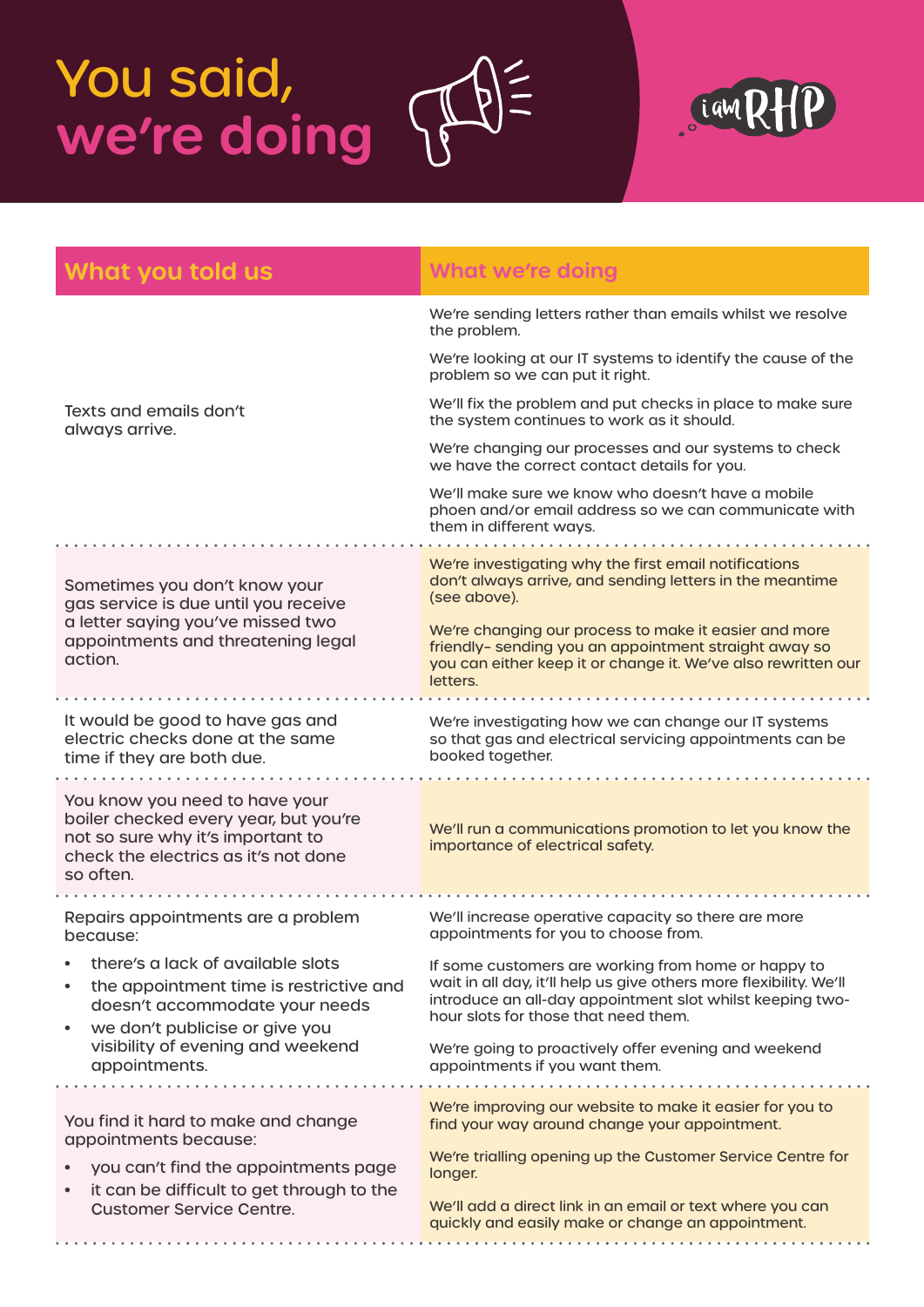## You said, **we're doing**



| What you told us                                                                                                                                                  | <b>What we're doing</b>                                                                                                                                                                                                        |
|-------------------------------------------------------------------------------------------------------------------------------------------------------------------|--------------------------------------------------------------------------------------------------------------------------------------------------------------------------------------------------------------------------------|
| Texts and emails don't<br>always arrive.                                                                                                                          | We're sending letters rather than emails whilst we resolve<br>the problem.                                                                                                                                                     |
|                                                                                                                                                                   | We're looking at our IT systems to identify the cause of the<br>problem so we can put it right.                                                                                                                                |
|                                                                                                                                                                   | We'll fix the problem and put checks in place to make sure<br>the system continues to work as it should.                                                                                                                       |
|                                                                                                                                                                   | We're changing our processes and our systems to check<br>we have the correct contact details for you.                                                                                                                          |
|                                                                                                                                                                   | We'll make sure we know who doesn't have a mobile<br>phoen and/or email address so we can communicate with<br>them in different ways.                                                                                          |
| Sometimes you don't know your<br>gas service is due until you receive<br>a letter saying you've missed two<br>appointments and threatening legal<br>action.       | We're investigating why the first email notifications<br>don't always arrive, and sending letters in the meantime<br>(see above).                                                                                              |
|                                                                                                                                                                   | We're changing our process to make it easier and more<br>friendly- sending you an appointment straight away so<br>you can either keep it or change it. We've also rewritten our<br>letters.                                    |
| It would be good to have gas and<br>electric checks done at the same<br>time if they are both due.                                                                | We're investigating how we can change our IT systems<br>so that gas and electrical servicing appointments can be<br>booked together.                                                                                           |
| You know you need to have your<br>boiler checked every year, but you're<br>not so sure why it's important to<br>check the electrics as it's not done<br>so often. | We'll run a communications promotion to let you know the<br>importance of electrical safety.                                                                                                                                   |
| Repairs appointments are a problem<br>because:                                                                                                                    | We'll increase operative capacity so there are more<br>appointments for you to choose from.                                                                                                                                    |
| there's a lack of available slots<br>the appointment time is restrictive and<br>doesn't accommodate your needs<br>we don't publicise or give you                  | If some customers are working from home or happy to<br>wait in all day, it'll help us give others more flexibility. We'll<br>introduce an all-day appointment slot whilst keeping two-<br>hour slots for those that need them. |
| visibility of evening and weekend<br>appointments.                                                                                                                | We're going to proactively offer evening and weekend<br>appointments if you want them.                                                                                                                                         |
| You find it hard to make and change                                                                                                                               | We're improving our website to make it easier for you to                                                                                                                                                                       |
| appointments because:                                                                                                                                             | find your way around change your appointment.<br>We're trialling opening up the Customer Service Centre for                                                                                                                    |
| you can't find the appointments page<br>it can be difficult to get through to the<br>$\bullet$                                                                    | longer.                                                                                                                                                                                                                        |
| <b>Customer Service Centre.</b>                                                                                                                                   | We'll add a direct link in an email or text where you can<br>quickly and easily make or change an appointment.                                                                                                                 |

 $\frac{1}{11}$